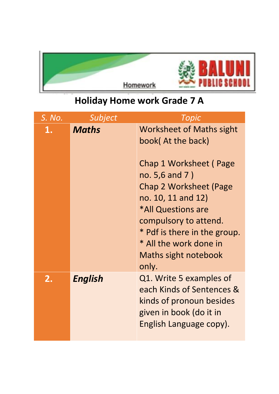

## **Holiday Home work Grade 7 A**

| S. No. | Subject        | Topic                                                                                                                                                                                                                                                                                             |
|--------|----------------|---------------------------------------------------------------------------------------------------------------------------------------------------------------------------------------------------------------------------------------------------------------------------------------------------|
| 1.     | <b>Maths</b>   | <b>Worksheet of Maths sight</b><br>book(At the back)<br>Chap 1 Worksheet (Page<br>no. 5,6 and 7)<br><b>Chap 2 Worksheet (Page</b><br>no. 10, 11 and 12)<br>*All Questions are<br>compulsory to attend.<br>* Pdf is there in the group.<br>* All the work done in<br>Maths sight notebook<br>only. |
| 2.     | <b>English</b> | Q1. Write 5 examples of<br>each Kinds of Sentences &<br>kinds of pronoun besides<br>given in book (do it in<br>English Language copy).                                                                                                                                                            |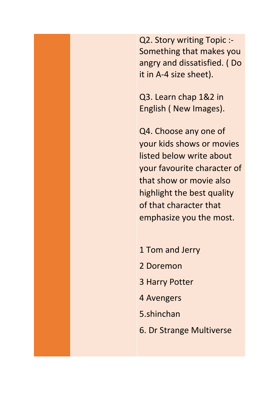Q2. Story writing Topic :- Something that makes you angry and dissatisfied. ( Do it in A-4 size sheet).

Q3. Learn chap 1&2 in English ( New Images).

Q4. Choose any one of your kids shows or movies listed below write about your favourite character of that show or movie also highlight the best quality of that character that emphasize you the most.

1 Tom and Jerry 2 Doremon 3 Harry Potter 4 Avengers 5.shinchan 6. Dr Strange Multiverse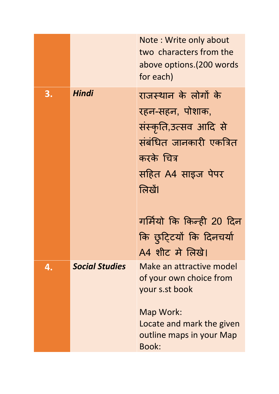|    |                       | Note: Write only about<br>two characters from the<br>above options. (200 words<br>for each)                                                          |
|----|-----------------------|------------------------------------------------------------------------------------------------------------------------------------------------------|
| 3. | Hindi                 | राजस्थान के लोगों के<br>रहन-सहन, पोशाक,<br>संस्कृति,उत्सव आदि से<br>संबंधित जानकारी एकत्रित<br>करके चित्र<br>सहित A4 साइज पेपर<br>लिखें।             |
|    |                       | गर्मियो कि किन्ही 20 दिन<br>कि छुटिटयों कि दिनचर्या<br>A4 शीट में लिखे।                                                                              |
| 4. | <b>Social Studies</b> | Make an attractive model<br>of your own choice from<br>your s.st book<br>Map Work:<br>Locate and mark the given<br>outline maps in your Map<br>Book: |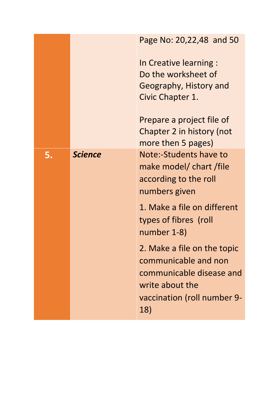|    |                | Page No: 20,22,48 and 50<br>In Creative learning :<br>Do the worksheet of<br>Geography, History and<br>Civic Chapter 1.<br>Prepare a project file of<br>Chapter 2 in history (not                                                                                                                                                    |
|----|----------------|--------------------------------------------------------------------------------------------------------------------------------------------------------------------------------------------------------------------------------------------------------------------------------------------------------------------------------------|
| 5. | <b>Science</b> | more then 5 pages)<br>Note:-Students have to<br>make model/ chart /file<br>according to the roll<br>numbers given<br>1. Make a file on different<br>types of fibres (roll<br>number 1-8)<br>2. Make a file on the topic<br>communicable and non<br>communicable disease and<br>write about the<br>vaccination (roll number 9-<br>18) |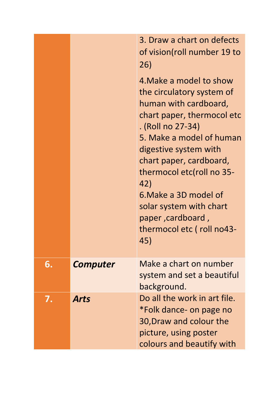|    |                 | 3. Draw a chart on defects<br>of vision(roll number 19 to<br>26)<br>4. Make a model to show<br>the circulatory system of<br>human with cardboard,<br>chart paper, thermocol etc<br>. (Roll no 27-34)<br>5. Make a model of human<br>digestive system with<br>chart paper, cardboard,<br>thermocol etc(roll no 35-<br>42)<br>6. Make a 3D model of<br>solar system with chart<br>paper, cardboard,<br>thermocol etc (roll no43-<br>45) |
|----|-----------------|---------------------------------------------------------------------------------------------------------------------------------------------------------------------------------------------------------------------------------------------------------------------------------------------------------------------------------------------------------------------------------------------------------------------------------------|
| 6. | <b>Computer</b> | Make a chart on number<br>system and set a beautiful<br>background.                                                                                                                                                                                                                                                                                                                                                                   |
| 7. | <b>Arts</b>     | Do all the work in art file.<br>*Folk dance- on page no<br>30, Draw and colour the<br>picture, using poster<br>colours and beautify with                                                                                                                                                                                                                                                                                              |